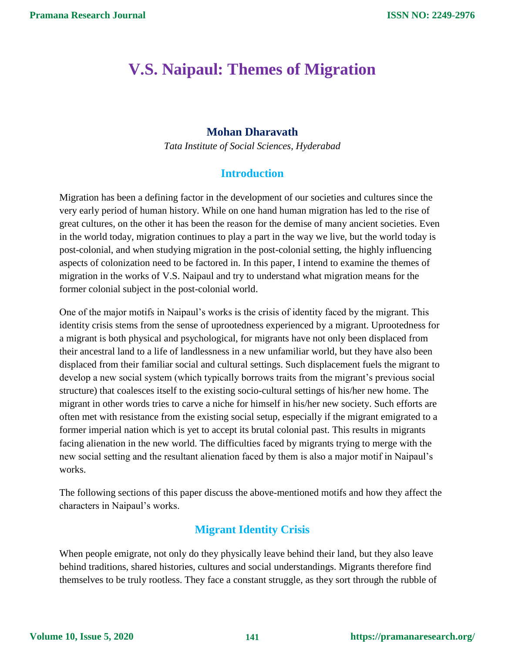# **V.S. Naipaul: Themes of Migration**

### **Mohan Dharavath**

*Tata Institute of Social Sciences, Hyderabad*

## **Introduction**

Migration has been a defining factor in the development of our societies and cultures since the very early period of human history. While on one hand human migration has led to the rise of great cultures, on the other it has been the reason for the demise of many ancient societies. Even in the world today, migration continues to play a part in the way we live, but the world today is post-colonial, and when studying migration in the post-colonial setting, the highly influencing aspects of colonization need to be factored in. In this paper, I intend to examine the themes of migration in the works of V.S. Naipaul and try to understand what migration means for the former colonial subject in the post-colonial world.

One of the major motifs in Naipaul's works is the crisis of identity faced by the migrant. This identity crisis stems from the sense of uprootedness experienced by a migrant. Uprootedness for a migrant is both physical and psychological, for migrants have not only been displaced from their ancestral land to a life of landlessness in a new unfamiliar world, but they have also been displaced from their familiar social and cultural settings. Such displacement fuels the migrant to develop a new social system (which typically borrows traits from the migrant's previous social structure) that coalesces itself to the existing socio-cultural settings of his/her new home. The migrant in other words tries to carve a niche for himself in his/her new society. Such efforts are often met with resistance from the existing social setup, especially if the migrant emigrated to a former imperial nation which is yet to accept its brutal colonial past. This results in migrants facing alienation in the new world. The difficulties faced by migrants trying to merge with the new social setting and the resultant alienation faced by them is also a major motif in Naipaul's works.

The following sections of this paper discuss the above-mentioned motifs and how they affect the characters in Naipaul's works.

# **Migrant Identity Crisis**

When people emigrate, not only do they physically leave behind their land, but they also leave behind traditions, shared histories, cultures and social understandings. Migrants therefore find themselves to be truly rootless. They face a constant struggle, as they sort through the rubble of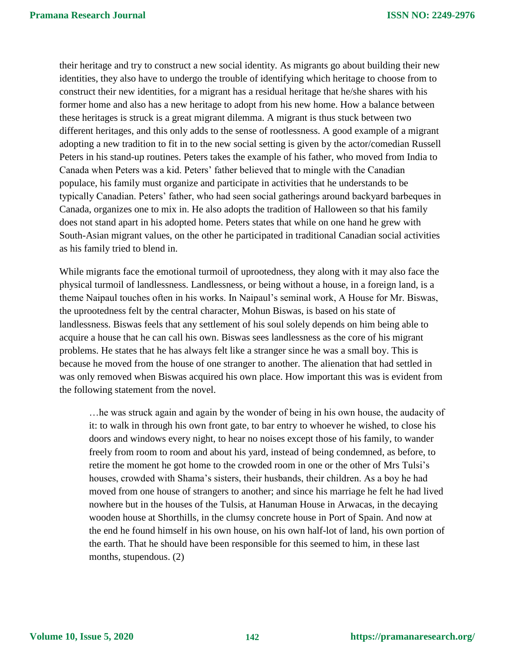their heritage and try to construct a new social identity. As migrants go about building their new identities, they also have to undergo the trouble of identifying which heritage to choose from to construct their new identities, for a migrant has a residual heritage that he/she shares with his former home and also has a new heritage to adopt from his new home. How a balance between these heritages is struck is a great migrant dilemma. A migrant is thus stuck between two different heritages, and this only adds to the sense of rootlessness. A good example of a migrant adopting a new tradition to fit in to the new social setting is given by the actor/comedian Russell Peters in his stand-up routines. Peters takes the example of his father, who moved from India to Canada when Peters was a kid. Peters' father believed that to mingle with the Canadian populace, his family must organize and participate in activities that he understands to be typically Canadian. Peters' father, who had seen social gatherings around backyard barbeques in Canada, organizes one to mix in. He also adopts the tradition of Halloween so that his family does not stand apart in his adopted home. Peters states that while on one hand he grew with South-Asian migrant values, on the other he participated in traditional Canadian social activities as his family tried to blend in.

While migrants face the emotional turmoil of uprootedness, they along with it may also face the physical turmoil of landlessness. Landlessness, or being without a house, in a foreign land, is a theme Naipaul touches often in his works. In Naipaul's seminal work, A House for Mr. Biswas, the uprootedness felt by the central character, Mohun Biswas, is based on his state of landlessness. Biswas feels that any settlement of his soul solely depends on him being able to acquire a house that he can call his own. Biswas sees landlessness as the core of his migrant problems. He states that he has always felt like a stranger since he was a small boy. This is because he moved from the house of one stranger to another. The alienation that had settled in was only removed when Biswas acquired his own place. How important this was is evident from the following statement from the novel.

…he was struck again and again by the wonder of being in his own house, the audacity of it: to walk in through his own front gate, to bar entry to whoever he wished, to close his doors and windows every night, to hear no noises except those of his family, to wander freely from room to room and about his yard, instead of being condemned, as before, to retire the moment he got home to the crowded room in one or the other of Mrs Tulsi's houses, crowded with Shama's sisters, their husbands, their children. As a boy he had moved from one house of strangers to another; and since his marriage he felt he had lived nowhere but in the houses of the Tulsis, at Hanuman House in Arwacas, in the decaying wooden house at Shorthills, in the clumsy concrete house in Port of Spain. And now at the end he found himself in his own house, on his own half-lot of land, his own portion of the earth. That he should have been responsible for this seemed to him, in these last months, stupendous. (2)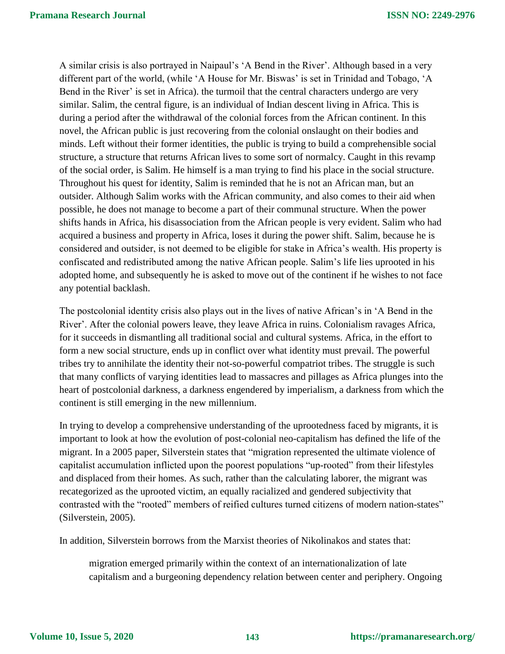A similar crisis is also portrayed in Naipaul's 'A Bend in the River'. Although based in a very different part of the world, (while 'A House for Mr. Biswas' is set in Trinidad and Tobago, 'A Bend in the River' is set in Africa). the turmoil that the central characters undergo are very similar. Salim, the central figure, is an individual of Indian descent living in Africa. This is during a period after the withdrawal of the colonial forces from the African continent. In this novel, the African public is just recovering from the colonial onslaught on their bodies and minds. Left without their former identities, the public is trying to build a comprehensible social structure, a structure that returns African lives to some sort of normalcy. Caught in this revamp of the social order, is Salim. He himself is a man trying to find his place in the social structure. Throughout his quest for identity, Salim is reminded that he is not an African man, but an outsider. Although Salim works with the African community, and also comes to their aid when possible, he does not manage to become a part of their communal structure. When the power shifts hands in Africa, his disassociation from the African people is very evident. Salim who had acquired a business and property in Africa, loses it during the power shift. Salim, because he is considered and outsider, is not deemed to be eligible for stake in Africa's wealth. His property is confiscated and redistributed among the native African people. Salim's life lies uprooted in his adopted home, and subsequently he is asked to move out of the continent if he wishes to not face any potential backlash.

The postcolonial identity crisis also plays out in the lives of native African's in 'A Bend in the River'. After the colonial powers leave, they leave Africa in ruins. Colonialism ravages Africa, for it succeeds in dismantling all traditional social and cultural systems. Africa, in the effort to form a new social structure, ends up in conflict over what identity must prevail. The powerful tribes try to annihilate the identity their not-so-powerful compatriot tribes. The struggle is such that many conflicts of varying identities lead to massacres and pillages as Africa plunges into the heart of postcolonial darkness, a darkness engendered by imperialism, a darkness from which the continent is still emerging in the new millennium.

In trying to develop a comprehensive understanding of the uprootedness faced by migrants, it is important to look at how the evolution of post-colonial neo-capitalism has defined the life of the migrant. In a 2005 paper, Silverstein states that "migration represented the ultimate violence of capitalist accumulation inflicted upon the poorest populations "up-rooted" from their lifestyles and displaced from their homes. As such, rather than the calculating laborer, the migrant was recategorized as the uprooted victim, an equally racialized and gendered subjectivity that contrasted with the "rooted" members of reified cultures turned citizens of modern nation-states" (Silverstein, 2005).

In addition, Silverstein borrows from the Marxist theories of Nikolinakos and states that:

migration emerged primarily within the context of an internationalization of late capitalism and a burgeoning dependency relation between center and periphery. Ongoing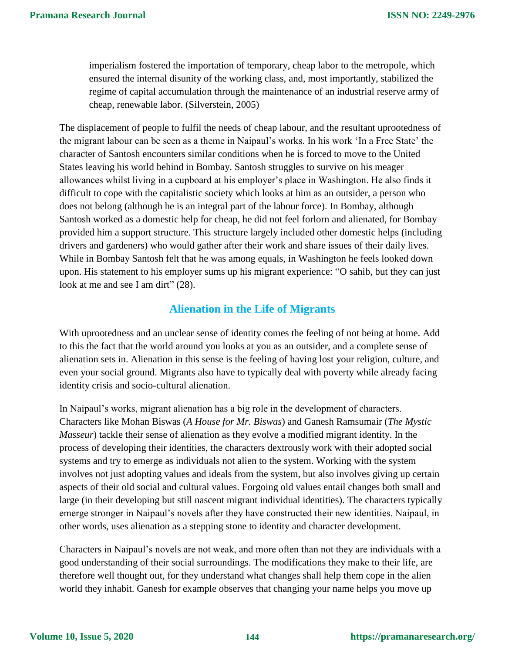imperialism fostered the importation of temporary, cheap labor to the metropole, which ensured the internal disunity of the working class, and, most importantly, stabilized the regime of capital accumulation through the maintenance of an industrial reserve army of cheap, renewable labor. (Silverstein, 2005)

The displacement of people to fulfil the needs of cheap labour, and the resultant uprootedness of the migrant labour can be seen as a theme in Naipaul's works. In his work 'In a Free State' the character of Santosh encounters similar conditions when he is forced to move to the United States leaving his world behind in Bombay. Santosh struggles to survive on his meager allowances whilst living in a cupboard at his employer's place in Washington. He also finds it difficult to cope with the capitalistic society which looks at him as an outsider, a person who does not belong (although he is an integral part of the labour force). In Bombay, although Santosh worked as a domestic help for cheap, he did not feel forlorn and alienated, for Bombay provided him a support structure. This structure largely included other domestic helps (including drivers and gardeners) who would gather after their work and share issues of their daily lives. While in Bombay Santosh felt that he was among equals, in Washington he feels looked down upon. His statement to his employer sums up his migrant experience: "O sahib, but they can just look at me and see I am dirt" (28).

### **Alienation in the Life of Migrants**

With uprootedness and an unclear sense of identity comes the feeling of not being at home. Add to this the fact that the world around you looks at you as an outsider, and a complete sense of alienation sets in. Alienation in this sense is the feeling of having lost your religion, culture, and even your social ground. Migrants also have to typically deal with poverty while already facing identity crisis and socio-cultural alienation.

In Naipaul's works, migrant alienation has a big role in the development of characters. Characters like Mohan Biswas (*A House for Mr. Biswas*) and Ganesh Ramsumair (*The Mystic Masseur*) tackle their sense of alienation as they evolve a modified migrant identity. In the process of developing their identities, the characters dextrously work with their adopted social systems and try to emerge as individuals not alien to the system. Working with the system involves not just adopting values and ideals from the system, but also involves giving up certain aspects of their old social and cultural values. Forgoing old values entail changes both small and large (in their developing but still nascent migrant individual identities). The characters typically emerge stronger in Naipaul's novels after they have constructed their new identities. Naipaul, in other words, uses alienation as a stepping stone to identity and character development.

Characters in Naipaul's novels are not weak, and more often than not they are individuals with a good understanding of their social surroundings. The modifications they make to their life, are therefore well thought out, for they understand what changes shall help them cope in the alien world they inhabit. Ganesh for example observes that changing your name helps you move up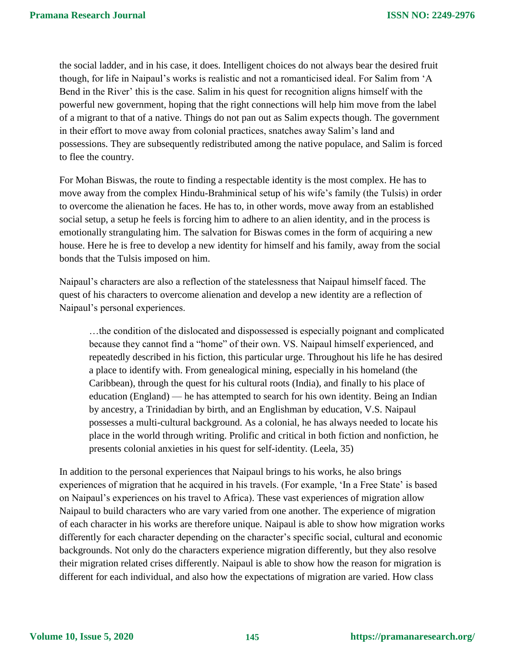the social ladder, and in his case, it does. Intelligent choices do not always bear the desired fruit though, for life in Naipaul's works is realistic and not a romanticised ideal. For Salim from 'A Bend in the River' this is the case. Salim in his quest for recognition aligns himself with the powerful new government, hoping that the right connections will help him move from the label of a migrant to that of a native. Things do not pan out as Salim expects though. The government in their effort to move away from colonial practices, snatches away Salim's land and possessions. They are subsequently redistributed among the native populace, and Salim is forced to flee the country.

For Mohan Biswas, the route to finding a respectable identity is the most complex. He has to move away from the complex Hindu-Brahminical setup of his wife's family (the Tulsis) in order to overcome the alienation he faces. He has to, in other words, move away from an established social setup, a setup he feels is forcing him to adhere to an alien identity, and in the process is emotionally strangulating him. The salvation for Biswas comes in the form of acquiring a new house. Here he is free to develop a new identity for himself and his family, away from the social bonds that the Tulsis imposed on him.

Naipaul's characters are also a reflection of the statelessness that Naipaul himself faced. The quest of his characters to overcome alienation and develop a new identity are a reflection of Naipaul's personal experiences.

…the condition of the dislocated and dispossessed is especially poignant and complicated because they cannot find a "home" of their own. VS. Naipaul himself experienced, and repeatedly described in his fiction, this particular urge. Throughout his life he has desired a place to identify with. From genealogical mining, especially in his homeland (the Caribbean), through the quest for his cultural roots (India), and finally to his place of education (England) — he has attempted to search for his own identity. Being an Indian by ancestry, a Trinidadian by birth, and an Englishman by education, V.S. Naipaul possesses a multi-cultural background. As a colonial, he has always needed to locate his place in the world through writing. Prolific and critical in both fiction and nonfiction, he presents colonial anxieties in his quest for self-identity. (Leela, 35)

In addition to the personal experiences that Naipaul brings to his works, he also brings experiences of migration that he acquired in his travels. (For example, 'In a Free State' is based on Naipaul's experiences on his travel to Africa). These vast experiences of migration allow Naipaul to build characters who are vary varied from one another. The experience of migration of each character in his works are therefore unique. Naipaul is able to show how migration works differently for each character depending on the character's specific social, cultural and economic backgrounds. Not only do the characters experience migration differently, but they also resolve their migration related crises differently. Naipaul is able to show how the reason for migration is different for each individual, and also how the expectations of migration are varied. How class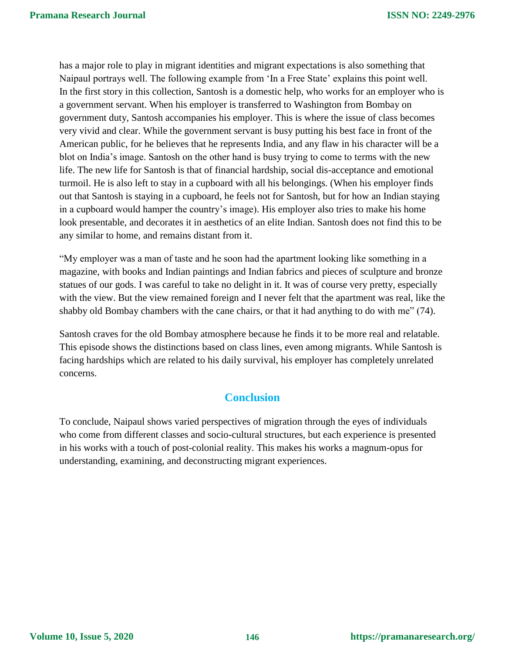has a major role to play in migrant identities and migrant expectations is also something that Naipaul portrays well. The following example from 'In a Free State' explains this point well. In the first story in this collection, Santosh is a domestic help, who works for an employer who is a government servant. When his employer is transferred to Washington from Bombay on government duty, Santosh accompanies his employer. This is where the issue of class becomes very vivid and clear. While the government servant is busy putting his best face in front of the American public, for he believes that he represents India, and any flaw in his character will be a blot on India's image. Santosh on the other hand is busy trying to come to terms with the new life. The new life for Santosh is that of financial hardship, social dis-acceptance and emotional turmoil. He is also left to stay in a cupboard with all his belongings. (When his employer finds out that Santosh is staying in a cupboard, he feels not for Santosh, but for how an Indian staying in a cupboard would hamper the country's image). His employer also tries to make his home look presentable, and decorates it in aesthetics of an elite Indian. Santosh does not find this to be any similar to home, and remains distant from it.

"My employer was a man of taste and he soon had the apartment looking like something in a magazine, with books and Indian paintings and Indian fabrics and pieces of sculpture and bronze statues of our gods. I was careful to take no delight in it. It was of course very pretty, especially with the view. But the view remained foreign and I never felt that the apartment was real, like the shabby old Bombay chambers with the cane chairs, or that it had anything to do with me" (74).

Santosh craves for the old Bombay atmosphere because he finds it to be more real and relatable. This episode shows the distinctions based on class lines, even among migrants. While Santosh is facing hardships which are related to his daily survival, his employer has completely unrelated concerns.

## **Conclusion**

To conclude, Naipaul shows varied perspectives of migration through the eyes of individuals who come from different classes and socio-cultural structures, but each experience is presented in his works with a touch of post-colonial reality. This makes his works a magnum-opus for understanding, examining, and deconstructing migrant experiences.